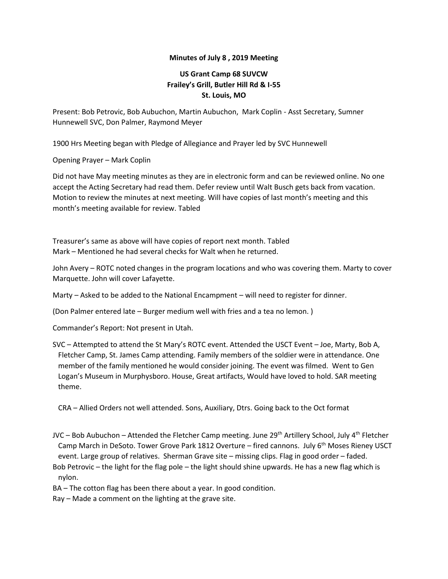## **Minutes of July 8 , 2019 Meeting**

## **US Grant Camp 68 SUVCW Frailey's Grill, Butler Hill Rd & I-55 St. Louis, MO**

Present: Bob Petrovic, Bob Aubuchon, Martin Aubuchon, Mark Coplin - Asst Secretary, Sumner Hunnewell SVC, Don Palmer, Raymond Meyer

1900 Hrs Meeting began with Pledge of Allegiance and Prayer led by SVC Hunnewell

Opening Prayer – Mark Coplin

Did not have May meeting minutes as they are in electronic form and can be reviewed online. No one accept the Acting Secretary had read them. Defer review until Walt Busch gets back from vacation. Motion to review the minutes at next meeting. Will have copies of last month's meeting and this month's meeting available for review. Tabled

Treasurer's same as above will have copies of report next month. Tabled Mark – Mentioned he had several checks for Walt when he returned.

John Avery – ROTC noted changes in the program locations and who was covering them. Marty to cover Marquette. John will cover Lafayette.

Marty – Asked to be added to the National Encampment – will need to register for dinner.

(Don Palmer entered late – Burger medium well with fries and a tea no lemon. )

Commander's Report: Not present in Utah.

SVC – Attempted to attend the St Mary's ROTC event. Attended the USCT Event – Joe, Marty, Bob A, Fletcher Camp, St. James Camp attending. Family members of the soldier were in attendance. One member of the family mentioned he would consider joining. The event was filmed. Went to Gen Logan's Museum in Murphysboro. House, Great artifacts, Would have loved to hold. SAR meeting theme.

CRA – Allied Orders not well attended. Sons, Auxiliary, Dtrs. Going back to the Oct format

JVC – Bob Aubuchon – Attended the Fletcher Camp meeting. June 29<sup>th</sup> Artillery School, July 4<sup>th</sup> Fletcher Camp March in DeSoto. Tower Grove Park 1812 Overture – fired cannons. July 6<sup>th</sup> Moses Rieney USCT event. Large group of relatives. Sherman Grave site – missing clips. Flag in good order – faded. Bob Petrovic – the light for the flag pole – the light should shine upwards. He has a new flag which is nylon.

BA – The cotton flag has been there about a year. In good condition.

Ray – Made a comment on the lighting at the grave site.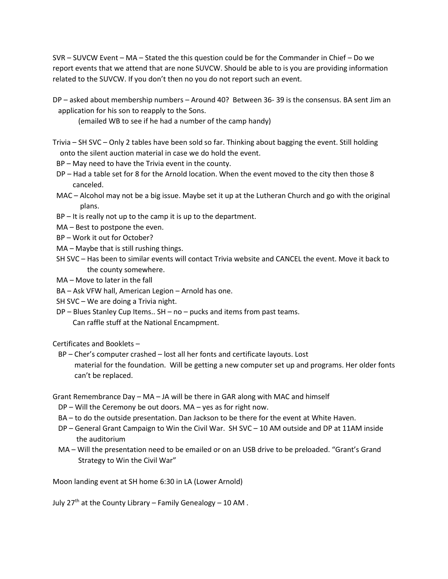SVR – SUVCW Event – MA – Stated the this question could be for the Commander in Chief – Do we report events that we attend that are none SUVCW. Should be able to is you are providing information related to the SUVCW. If you don't then no you do not report such an event.

DP – asked about membership numbers – Around 40? Between 36- 39 is the consensus. BA sent Jim an application for his son to reapply to the Sons.

(emailed WB to see if he had a number of the camp handy)

- Trivia SH SVC Only 2 tables have been sold so far. Thinking about bagging the event. Still holding onto the silent auction material in case we do hold the event.
- BP May need to have the Trivia event in the county.
- DP Had a table set for 8 for the Arnold location. When the event moved to the city then those 8 canceled.
- MAC Alcohol may not be a big issue. Maybe set it up at the Lutheran Church and go with the original plans.
- BP It is really not up to the camp it is up to the department.
- MA Best to postpone the even.
- BP Work it out for October?
- MA Maybe that is still rushing things.
- SH SVC Has been to similar events will contact Trivia website and CANCEL the event. Move it back to the county somewhere.
- MA Move to later in the fall
- BA Ask VFW hall, American Legion Arnold has one.
- SH SVC We are doing a Trivia night.
- DP Blues Stanley Cup Items.. SH no pucks and items from past teams. Can raffle stuff at the National Encampment.

Certificates and Booklets –

 BP – Cher's computer crashed – lost all her fonts and certificate layouts. Lost material for the foundation. Will be getting a new computer set up and programs. Her older fonts can't be replaced.

Grant Remembrance Day – MA – JA will be there in GAR along with MAC and himself

- DP Will the Ceremony be out doors. MA yes as for right now.
- BA to do the outside presentation. Dan Jackson to be there for the event at White Haven.
- DP General Grant Campaign to Win the Civil War. SH SVC 10 AM outside and DP at 11AM inside the auditorium
- MA Will the presentation need to be emailed or on an USB drive to be preloaded. "Grant's Grand Strategy to Win the Civil War"

Moon landing event at SH home 6:30 in LA (Lower Arnold)

July  $27<sup>th</sup>$  at the County Library – Family Genealogy – 10 AM.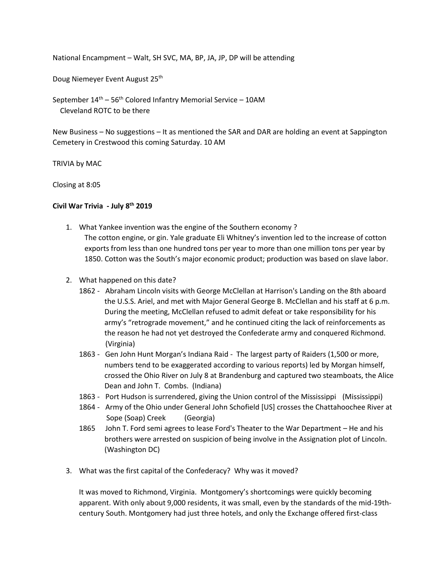National Encampment – Walt, SH SVC, MA, BP, JA, JP, DP will be attending

Doug Niemeyer Event August 25<sup>th</sup>

September 14<sup>th</sup> – 56<sup>th</sup> Colored Infantry Memorial Service – 10AM Cleveland ROTC to be there

New Business – No suggestions – It as mentioned the SAR and DAR are holding an event at Sappington Cemetery in Crestwood this coming Saturday. 10 AM

TRIVIA by MAC

Closing at 8:05

## **Civil War Trivia - July 8th 2019**

- 1. What Yankee invention was the engine of the Southern economy ? The cotton engine, or gin. Yale graduate Eli Whitney's invention led to the increase of cotton exports from less than one hundred tons per year to more than one million tons per year by 1850. Cotton was the South's major economic product; production was based on slave labor.
- 2. What happened on this date?
	- 1862 Abraham Lincoln visits with George McClellan at Harrison's Landing on the 8th aboard the U.S.S. Ariel, and met with Major General George B. McClellan and his staff at 6 p.m. During the meeting, McClellan refused to admit defeat or take responsibility for his army's "retrograde movement," and he continued citing the lack of reinforcements as the reason he had not yet destroyed the Confederate army and conquered Richmond. (Virginia)
	- 1863 Gen John Hunt Morgan's Indiana Raid The largest party of Raiders (1,500 or more, numbers tend to be exaggerated according to various reports) led by Morgan himself, crossed the Ohio River on July 8 at Brandenburg and captured two steamboats, the Alice Dean and John T. Combs. (Indiana)
	- 1863 Port Hudson is surrendered, giving the Union control of the Mississippi (Mississippi)
	- 1864 Army of the Ohio under General John Schofield [US] crosses the Chattahoochee River at Sope (Soap) Creek (Georgia)
	- 1865 John T. Ford semi agrees to lease Ford's Theater to the War Department He and his brothers were arrested on suspicion of being involve in the Assignation plot of Lincoln. (Washington DC)
- 3. What was the first capital of the Confederacy? Why was it moved?

It was moved to Richmond, Virginia. Montgomery's shortcomings were quickly becoming apparent. With only about 9,000 residents, it was small, even by the standards of the mid-19thcentury South. Montgomery had just three hotels, and only the Exchange offered first-class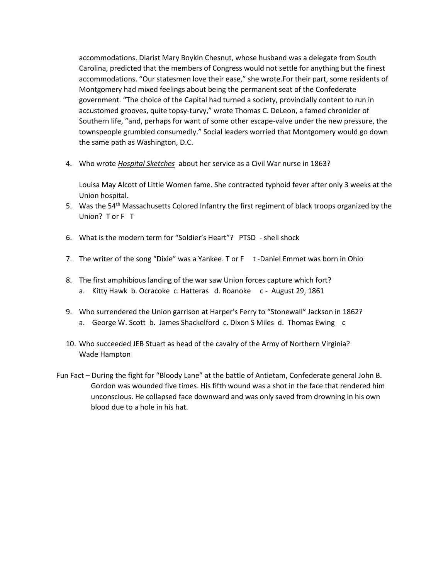accommodations. Diarist Mary Boykin Chesnut, whose husband was a delegate from South Carolina, predicted that the members of Congress would not settle for anything but the finest accommodations. "Our statesmen love their ease," she wrote.For their part, some residents of Montgomery had mixed feelings about being the permanent seat of the Confederate government. "The choice of the Capital had turned a society, provincially content to run in accustomed grooves, quite topsy-turvy," wrote Thomas C. DeLeon, a famed chronicler of Southern life, "and, perhaps for want of some other escape-valve under the new pressure, the townspeople grumbled consumedly." Social leaders worried that Montgomery would go down the same path as Washington, D.C.

4. Who wrote *Hospital Sketches* about her service as a Civil War nurse in 1863?

Louisa May Alcott of Little Women fame. She contracted typhoid fever after only 3 weeks at the Union hospital.

- 5. Was the 54<sup>th</sup> Massachusetts Colored Infantry the first regiment of black troops organized by the Union? Tor F T
- 6. What is the modern term for "Soldier's Heart"? PTSD shell shock
- 7. The writer of the song "Dixie" was a Yankee. T or F t-Daniel Emmet was born in Ohio
- 8. The first amphibious landing of the war saw Union forces capture which fort? a. Kitty Hawk b. Ocracoke c. Hatteras d. Roanoke c - August 29, 1861
- 9. Who surrendered the Union garrison at Harper's Ferry to "Stonewall" Jackson in 1862? a. George W. Scott b. James Shackelford c. Dixon S Miles d. Thomas Ewing c
- 10. Who succeeded JEB Stuart as head of the cavalry of the Army of Northern Virginia? Wade Hampton
- Fun Fact During the fight for "Bloody Lane" at the battle of Antietam, Confederate general John B. Gordon was wounded five times. His fifth wound was a shot in the face that rendered him unconscious. He collapsed face downward and was only saved from drowning in his own blood due to a hole in his hat.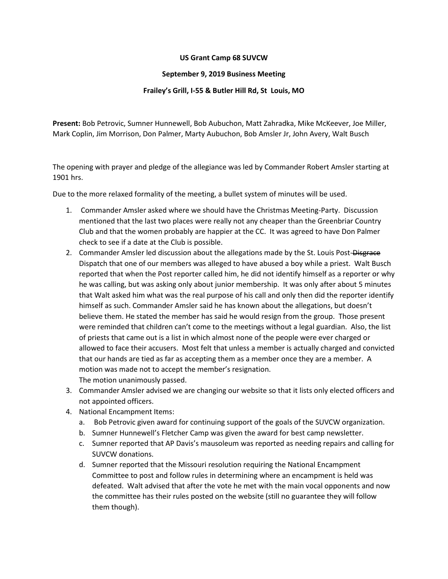## **US Grant Camp 68 SUVCW**

## **September 9, 2019 Business Meeting**

## **Frailey's Grill, I-55 & Butler Hill Rd, St Louis, MO**

**Present:** Bob Petrovic, Sumner Hunnewell, Bob Aubuchon, Matt Zahradka, Mike McKeever, Joe Miller, Mark Coplin, Jim Morrison, Don Palmer, Marty Aubuchon, Bob Amsler Jr, John Avery, Walt Busch

The opening with prayer and pledge of the allegiance was led by Commander Robert Amsler starting at 1901 hrs.

Due to the more relaxed formality of the meeting, a bullet system of minutes will be used.

- 1. Commander Amsler asked where we should have the Christmas Meeting-Party. Discussion mentioned that the last two places were really not any cheaper than the Greenbriar Country Club and that the women probably are happier at the CC. It was agreed to have Don Palmer check to see if a date at the Club is possible.
- 2. Commander Amsler led discussion about the allegations made by the St. Louis Post-Disgrace Dispatch that one of our members was alleged to have abused a boy while a priest. Walt Busch reported that when the Post reporter called him, he did not identify himself as a reporter or why he was calling, but was asking only about junior membership. It was only after about 5 minutes that Walt asked him what was the real purpose of his call and only then did the reporter identify himself as such. Commander Amsler said he has known about the allegations, but doesn't believe them. He stated the member has said he would resign from the group. Those present were reminded that children can't come to the meetings without a legal guardian. Also, the list of priests that came out is a list in which almost none of the people were ever charged or allowed to face their accusers. Most felt that unless a member is actually charged and convicted that our hands are tied as far as accepting them as a member once they are a member. A motion was made not to accept the member's resignation.

The motion unanimously passed.

- 3. Commander Amsler advised we are changing our website so that it lists only elected officers and not appointed officers.
- 4. National Encampment Items:
	- a. Bob Petrovic given award for continuing support of the goals of the SUVCW organization.
	- b. Sumner Hunnewell's Fletcher Camp was given the award for best camp newsletter.
	- c. Sumner reported that AP Davis's mausoleum was reported as needing repairs and calling for SUVCW donations.
	- d. Sumner reported that the Missouri resolution requiring the National Encampment Committee to post and follow rules in determining where an encampment is held was defeated. Walt advised that after the vote he met with the main vocal opponents and now the committee has their rules posted on the website (still no guarantee they will follow them though).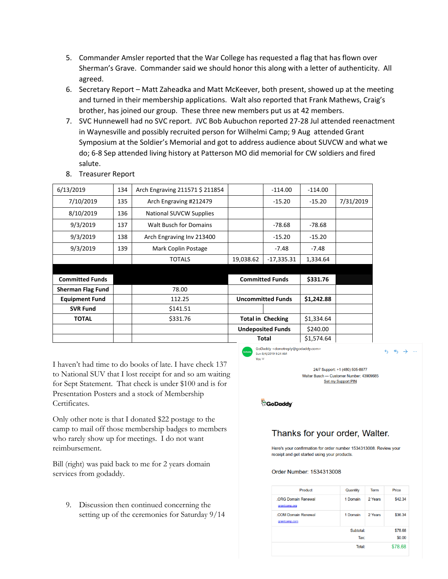- 5. Commander Amsler reported that the War College has requested a flag that has flown over Sherman's Grave. Commander said we should honor this along with a letter of authenticity. All agreed.
- 6. Secretary Report Matt Zaheadka and Matt McKeever, both present, showed up at the meeting and turned in their membership applications. Walt also reported that Frank Mathews, Craig's brother, has joined our group. These three new members put us at 42 members.
- 7. SVC Hunnewell had no SVC report. JVC Bob Aubuchon reported 27-28 Jul attended reenactment in Waynesville and possibly recruited person for Wilhelmi Camp; 9 Aug attended Grant Symposium at the Soldier's Memorial and got to address audience about SUVCW and what we do; 6-8 Sep attended living history at Patterson MO did memorial for CW soldiers and fired salute.

| 6/13/2019                | 134 | Arch Engraving 211571 \$ 211854 |                          | $-114.00$              | $-114.00$  |           |
|--------------------------|-----|---------------------------------|--------------------------|------------------------|------------|-----------|
| 7/10/2019                | 135 | Arch Engraving #212479          |                          | $-15.20$               | $-15.20$   | 7/31/2019 |
| 8/10/2019                | 136 | <b>National SUVCW Supplies</b>  |                          |                        |            |           |
| 9/3/2019                 | 137 | <b>Walt Busch for Domains</b>   |                          | $-78.68$               | $-78.68$   |           |
| 9/3/2019                 | 138 | Arch Engraving Inv 213400       |                          | $-15.20$               | $-15.20$   |           |
| 9/3/2019                 | 139 | Mark Coplin Postage             |                          | -7.48                  | $-7.48$    |           |
|                          |     | <b>TOTALS</b>                   | 19,038.62                | -17,335.31             | 1,334.64   |           |
|                          |     |                                 |                          |                        |            |           |
| <b>Committed Funds</b>   |     |                                 |                          | <b>Committed Funds</b> | \$331.76   |           |
| <b>Sherman Flag Fund</b> |     | 78.00                           |                          |                        |            |           |
| <b>Equipment Fund</b>    |     | 112.25                          | <b>Uncommitted Funds</b> |                        | \$1,242.88 |           |
| <b>SVR Fund</b>          |     | \$141.51                        |                          |                        |            |           |
| <b>TOTAL</b>             |     | \$331.76                        | <b>Total in Checking</b> |                        | \$1,334.64 |           |
|                          |     |                                 | <b>Undeposited Funds</b> |                        | \$240.00   |           |
|                          |     |                                 |                          | <b>Total</b>           | \$1,574.64 |           |

8. Treasurer Report

I haven't had time to do books of late. I have check 137 to National SUV that I lost receipt for and so am waiting for Sept Statement. That check is under \$100 and is for Presentation Posters and a stock of Membership Certificates.

Only other note is that I donated \$22 postage to the camp to mail off those membership badges to members who rarely show up for meetings. I do not want reimbursement.

Bill (right) was paid back to me for 2 years domain services from godaddy.

9. Discussion then continued concerning the setting up of the ceremonies for Saturday 9/14 GoDaddy <donotreply@godaddy.com> Sun 8/4/2019 9:24 AM

 $6 \quad 6 \quad \rightarrow \quad ...$ 

24/7 Support: +1 (480) 505-8877 Walter Busch - Customer Number: 43909685 Set my Support PIN

GoDaddy

 $V_{\text{out}} \times$ 

# Thanks for your order, Walter.

Here's your confirmation for order number 1534313008. Review your receipt and get started using your products.

#### Order Number: 1534313008

| Product                                    | Quantity  | Term    | Price   |
|--------------------------------------------|-----------|---------|---------|
| <b>ORG Domain Renewal</b><br>grantcamp.org | 1 Domain  | 2 Years | \$42.34 |
| <b>COM Domain Renewal</b><br>grantcamp.com | 1 Domain  | 2 Years | \$36.34 |
|                                            | Subtotal: |         | \$78.68 |
| Tax:                                       |           |         | \$0.00  |
|                                            | Total:    |         | \$78.68 |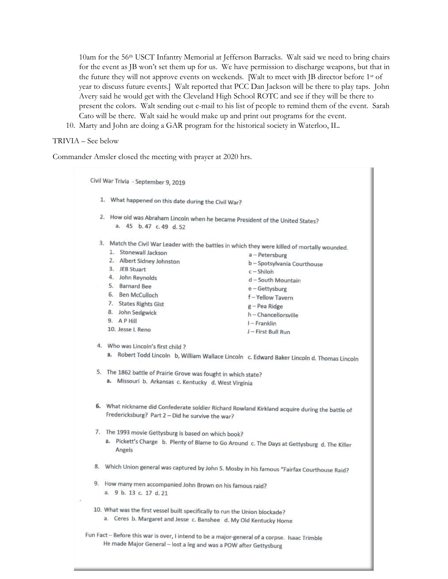10am for the 56th USCT Infantry Memorial at Jefferson Barracks. Walt said we need to bring chairs for the event as JB won't set them up for us. We have permission to discharge weapons, but that in the future they will not approve events on weekends. [Walt to meet with JB director before 1st of year to discuss future events.] Walt reported that PCC Dan Jackson will be there to play taps. John Avery said he would get with the Cleveland High School ROTC and see if they will be there to present the colors. Walt sending out e-mail to his list of people to remind them of the event. Sarah Cato will be there. Walt said he would make up and print out programs for the event.

10. Marty and John are doing a GAR program for the historical society in Waterloo, IL.

### TRIVIA – See below

Commander Amsler closed the meeting with prayer at 2020 hrs.

Civil War Trivia - September 9, 2019

- 1. What happened on this date during the Civil War?
- 2. How old was Abraham Lincoln when he became President of the United States? a. 45 b. 47 c. 49 d. 52
- 3. Match the Civil War Leader with the battles in which they were killed of mortally wounded. 1. Stonewall Jackson a-Petersburg 2. Albert Sidney Johnston b - Spotsylvania Courthouse 3. JEB Stuart  $c - Shiloh$ 4. John Reynolds d - South Mountain 5. Barnard Bee e-Gettysburg 6. Ben McCulloch f-Yellow Tavern 7. States Rights Gist g - Pea Ridge 8. John Sedgwick h - Chancellorsville 9. APHIII I - Franklin 10. Jesse L Reno J - First Bull Run 4. Who was Lincoln's first child ? a. Robert Todd Lincoln b, William Wallace Lincoln c. Edward Baker Lincoln d. Thomas Lincoln 5. The 1862 battle of Prairie Grove was fought in which state? a. Missouri b. Arkansas c. Kentucky d. West Virginia 6. What nickname did Confederate soldier Richard Rowland Kirkland acquire during the battle of Fredericksburg? Part 2 - Did he survive the war? 7. The 1993 movie Gettysburg is based on which book?
	- a. Pickett's Charge b. Plenty of Blame to Go Around c. The Days at Gettysburg d. The Killer Angels
- 8. Which Union general was captured by John S. Mosby in his famous "Fairfax Courthouse Raid?
- 9. How many men accompanied John Brown on his famous raid? a. 9 b. 13 c. 17 d. 21
- 10. What was the first vessel built specifically to run the Union blockade? a. Ceres b. Margaret and Jesse c. Banshee d. My Old Kentucky Home
- Fun Fact Before this war is over, I intend to be a major-general of a corpse. Isaac Trimble He made Major General - lost a leg and was a POW after Gettysburg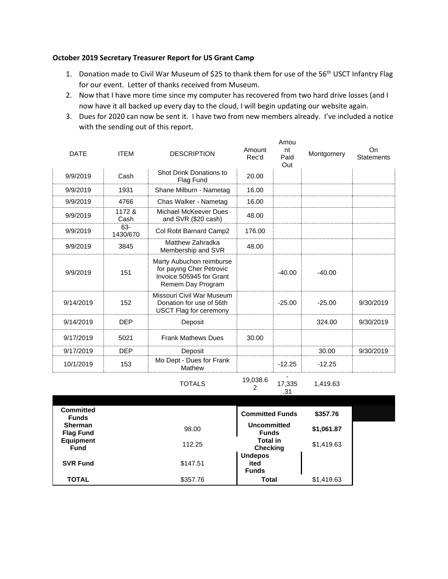## **October 2019 Secretary Treasurer Report for US Grant Camp**

- 1. Donation made to Civil War Museum of \$25 to thank them for use of the 56<sup>th</sup> USCT Infantry Flag for our event. Letter of thanks received from Museum.
- 2. Now that I have more time since my computer has recovered from two hard drive losses (and I now have it all backed up every day to the cloud, I will begin updating our website again.
- 3. Dues for 2020 can now be sent it. I have two from new members already. I've included a notice with the sending out of this report.

Amou

| <b>DATE</b> | <b>ITEM</b>     | <b>DESCRIPTION</b>                                                                                    | Amount<br>Rec'd | nt<br>Paid<br>Out | Montgomery | On<br>Statements |
|-------------|-----------------|-------------------------------------------------------------------------------------------------------|-----------------|-------------------|------------|------------------|
| 9/9/2019    | Cash            | Shot Drink Donations to<br>Flag Fund                                                                  | 20.00           |                   |            |                  |
| 9/9/2019    | 1931            | Shane Milburn - Nametag                                                                               | 16.00           |                   |            |                  |
| 9/9/2019    | 4766            | Chas Walker - Nametag                                                                                 | 16.00           |                   |            |                  |
| 9/9/2019    | 1172 &<br>Cash  | Michael McKeever Dues<br>and SVR (\$20 cash)                                                          | 48.00           |                   |            |                  |
| 9/9/2019    | 63-<br>1430/670 | Col Robt Barnard Camp2                                                                                | 176.00          |                   |            |                  |
| 9/9/2019    | 3845            | Matthew Zahradka<br>Membership and SVR                                                                | 48.00           |                   |            |                  |
| 9/9/2019    | 151             | Marty Aubuchon reimburse<br>for paying Cher Petrovic<br>Invoice 505945 for Grant<br>Remem Day Program |                 | $-40.00$          | $-40.00$   |                  |
| 9/14/2019   | 152             | Missouri Civil War Museum<br>Donation for use of 56th<br><b>USCT Flag for ceremony</b>                |                 | $-25.00$          | $-25.00$   | 9/30/2019        |
| 9/14/2019   | <b>DEP</b>      | Deposit                                                                                               |                 |                   | 324.00     | 9/30/2019        |
| 9/17/2019   | 5021            | <b>Frank Mathews Dues</b>                                                                             | 30.00           |                   |            |                  |
| 9/17/2019   | <b>DEP</b>      | Deposit                                                                                               |                 |                   | 30.00      | 9/30/2019        |
| 10/1/2019   | 153             | Mo Dept - Dues for Frank<br>Mathew                                                                    |                 | $-12.25$          | $-12.25$   |                  |
|             |                 |                                                                                                       | 10,000c         |                   |            |                  |

TOTALS 19,038.6

2

1,419.63

17,335 .31

| <b>Committed</b><br><b>Funds</b>   |          | <b>Committed Funds</b>                 | \$357.76   |  |
|------------------------------------|----------|----------------------------------------|------------|--|
| <b>Sherman</b><br><b>Flag Fund</b> | 98.00    | Uncommitted<br><b>Funds</b>            | \$1,061.87 |  |
| <b>Equipment</b><br><b>Fund</b>    | 112.25   | <b>Total in</b><br><b>Checking</b>     | \$1,419.63 |  |
| <b>SVR Fund</b>                    | \$147.51 | <b>Undepos</b><br>ited<br><b>Funds</b> |            |  |
| <b>TOTAL</b>                       | \$357.76 | Total                                  | \$1,419.63 |  |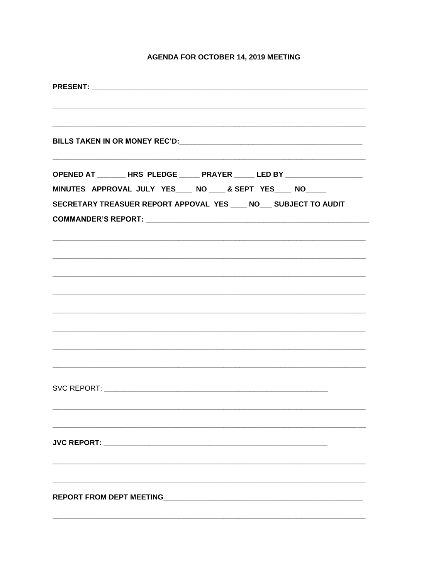# **AGENDA FOR OCTOBER 14, 2019 MEETING**

| OPENED AT ________ HRS PLEDGE ______ PRAYER ______ LED BY ______________________ |
|----------------------------------------------------------------------------------|
| MINUTES APPROVAL JULY YES___ NO ___ & SEPT YES___ NO____                         |
| SECRETARY TREASUER REPORT APPOVAL YES ____ NO___ SUBJECT TO AUDIT                |
|                                                                                  |
|                                                                                  |
|                                                                                  |
|                                                                                  |
|                                                                                  |
|                                                                                  |
|                                                                                  |
|                                                                                  |
|                                                                                  |
|                                                                                  |
|                                                                                  |
|                                                                                  |
|                                                                                  |
|                                                                                  |
|                                                                                  |
| <b>JVC REPORT:</b>                                                               |
|                                                                                  |
|                                                                                  |
|                                                                                  |
|                                                                                  |
|                                                                                  |